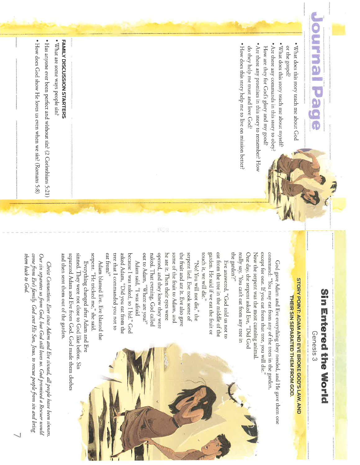# Journal

- . What does this story teach me about God or the gospel?
- . What does this story teach me about myself? • Are there any commands in this story to obey?
- How are they for God's glory and my good?
- Are there any promises in this story to remember? How
- do they help me trust and love God?
- . How does this story help me to live on mission better?

# **Sin mutered the World**

Genesis 3

## **STORY POINT: ADAM AND EVE BROKE GOD'S LAW, AND** THEIR SIN SEPARATED THEM FROM GOD.

except for one. If you eat from that tree, you will die the garden'?" One day, the serpent asked Eve, "Did God command: "You may eat from any of the trees in the garden. really say, 'You can't eat from any tree in Now the serpent was the most cunning animal God gave Adam and Eve everything they needed, and He gave them one

touch it, we will die." garden. He said if we eat the fruit or eat from the tree in the middle of the Eve answered, "God told us not to

out to Adam, "Where are you?" the fruit and ate it. Eve also gave serpent lied. Eve took some of naked. That evening, God called opened, and they knew they were he ate it. Then their eyes were some of the fruit to Adam, and "No! You will not die," the

eat from?" because I was naked, so I hid." God tree that I commanded you not to asked Adam, "Did you eat from the Adam said, "I was afraid

serpent. "He tricked me," she said. Adam blamed Eve. Eve blamed the

sinned. They were not close to God like before. Sin and then sent them out of the garden. separated Adam and Eve from God. God made them clothes Everything changed after Adam and Eve

come from Eves family. God sent His Son, Jesus, to rescue people from sin and bring them back to God. Our sin separates us from God, but God still loves us. God promised a Rescuer would Christ Connection: Ever since Adam and Eve sinned, all people have been sinners.

## FAMILY DISCUSSION STARTERS

· What are some ways people sin?

. Has anyone ever been perfect and without sin? (2 Corinthians 5:21)

• How does God show He loves us even when we sin? (Romans 5:8)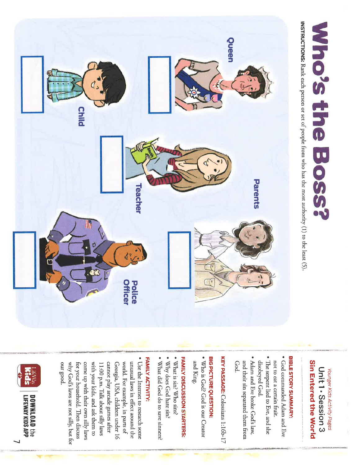

Sin Entered the World Unit 1 - Session 3 Younger Kids Activity Pages

## BIBLE STORY SUMMARY:

- God commanded Adam and Eve
- The serpent lied to Eve, and she not to eat a certain fruit.
- . Adam and Eve broke God's law, disobeyed God.
- God. and their sin separated them from

KEY PASSAGE: Colossians 1:16b-17

### **BIG PICTURE QUESTION:**

· Who is God? God is our Creator and King.

## FAMILY DISCUSSION STARTERS:

- What is sin? Who sins?
- · Why does God hate sin?
- · What did God do to save sinners?

### FAMILY ACTIVITY:

our good. unusual laws in effect around the Use the Internet to research some come up with their own silly laws with your kids, and ask them to cannot play arcade games after Georgia, USA, children under 16 world. For example, in parts of why God's laws are not silly, but for for your household. Then discuss 11:00 p.m. Talk about silly laws



**LIFEWAY KIDS APP** DOWNLOAD the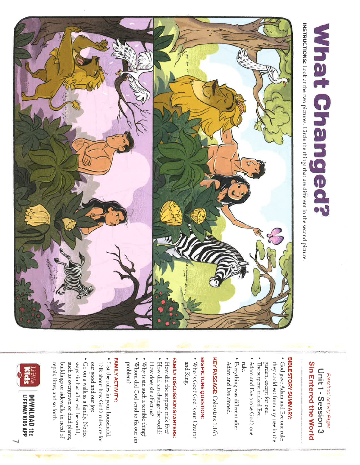

### Sin Entered the World Unit 1 - Session 3 Preschool Activity Pages

**What Changed?** 

## BIBLE STORY SUMMARY:

- . God gave Adam and Eve one rule: they could eat from any tree in the
- The serpent tricked Eve. garden, except for one.
- . Adam and Eve broke God's one
- Everything was different after rule. Adam and Eve sinned.

KEY PASSAGE: Colossians 1:16b

## **BIG PICTURE QUESTION:**

· Who is God? God is our Creator and King.

## FAMILY DISCUSSION STARTERS:

- . How did the serpent trick Eve?
- How did sin change the world?
- How does sin affect us?
- $\bullet$  Why is sin such a terrible thing? . Whom did God send to fix our sin problem?

### FAMILY ACTIVITY:

- List the rules in your household. Talk about how God's rules are for
- our good and our joy.
- . Go on a walk as a family. Notice ways sin has affected the world, repair, litter, and so forth buildings or sidewalks in need of such as overgrown or dead plants



**DOWNLOAD the LIFEWAY KIDS APP**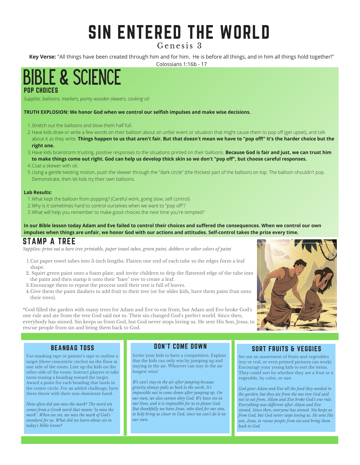### SIN ENTERED THE WORLD

Genesis 3

**Key Verse:** "All things have been created through him and for him. He is before all things, and in him all things hold together!"

Colossians 1:16b - 17

### POP CHOICES BIBLE & SCIENCE

*Supplies: balloons, markers, pointy wooden skewers, cooking oil*

### **TRUTH EXPLOSION: We honor God when we control our selfish impulses and make wise decisions.**

- 1. Stretch out the balloons and blow them half full.
- 2.Have kids draw or write a few words on their balloon about an unfair event or situation that might cause them to pop off (get upset), and talk about it as they write. **Things happen to us that aren't fair. But that doesn't mean we have to "pop off!" It's the harder choice but the right one.**
- 3. Have kids brainstorm trusting, positive responses to the situations printed on their balloons. **Because God is fair and just, we can trust him to make things come out right. God can help us develop thick skin so we don't "pop off", but choose careful responses.**
- 4. Coat a skewer with oil.
- 5.Using a gentle twisting motion, push the skewer through the "dark circle" (the thickest part of the balloon) on top. The balloon shouldn't pop. Demonstrate, then let kids try their own balloons.

### **Lab Results:**

- What kept the balloon from popping? (Careful work, going slow, self control) 1.
- Why is it sometimes hard to control ourselves when we want to "pop off"? 2.
- 3. What will help you remember to make good choices the next time you're tempted?

### **In our Bible lesson today Adam and Eve failed to control their choices and suffered the consequences. When we control our own impulses when things are unfair, we honor God with our actions and attitudes. Self-control takes the prize every time.**

### STAMP A TREE

Supplies: print out a bare tree printable, paper towel tubes, green paint, dobbers or other colors of paint

- 1.Cut paper towel tubes into 3-inch lengths. Flatten one end of each tube so the edges form a leaf shape.
- 2. Squirt green paint onto a foam plate, and invite children to drip the flattened edge of the tube into the paint and then stamp it onto their "bare" tree to create a leaf.
- Encourage them to repeat the process until their tree is full of leaves. 3.
- Give them the paint daubers to add fruit to their tree (or for older kids, have them paint fruit onto 4. their trees).

\*God filled the garden with many trees for Adam and Eve to eat from, but Adam and Eve broke God's one rule and ate from the tree God said not to. Their sin changed God's perfect world. Since then, everybody has sinned. Sin keeps us from God, but God never stops loving us. He sent His Son, Jesus, to rescue people from sin and bring them back to God.



### BEANBAG TOSS

Use masking tape or painter's tape to outline a target (three concentric circles) on the floor at one side of the room. Line up the kids on the other side of the room. Instruct players to take turns tossing a beanbag toward the target. Award a point for each beanbag that lands in the center circle. For an added challenge, have them throw with their non-dominant hand.

*How often did you miss the mark? The word sin comes from a Greek word that means "to miss the mark". When we sin, we miss the mark of God's standard for us. What did we learn about sin in today's Bible lesson?*

### DON'T COME DOWN

Invite your kids to have a competition. Explain that the kids can only win by jumping up and staying in the air. Whoever can stay in the air longest wins!

*We can't stay in the air after jumping because gravity always pulls us back to the earth. It's impossible not to come down after jumping up. On our own, we also cannot obey God. We have sin in our lives, and it is impossible for us to please God. But thankfully we have Jesus, who died for our sins, to help bring us closer to God, since we can't do it on our own.*

### SORT FRUITS & VEGGIES

Set out an assortment of fruits and vegetables (toy or real, or even printed pictures can work). Encourage your young kids to sort the items. They could sort by whether they are a fruit or a vegetable, by color, or size.

*God gave Adam and Eve all the food they needed in the garden, but they ate from the one tree God said not to eat from. Adam and Eve broke God's one rule. Everything was different after Adam and Eve sinned. Since then, everyone has sinned. Sin keeps us from God, but God never stops loving us. He sent His son, Jesus, to rescue people from sin and bring them back to God.*